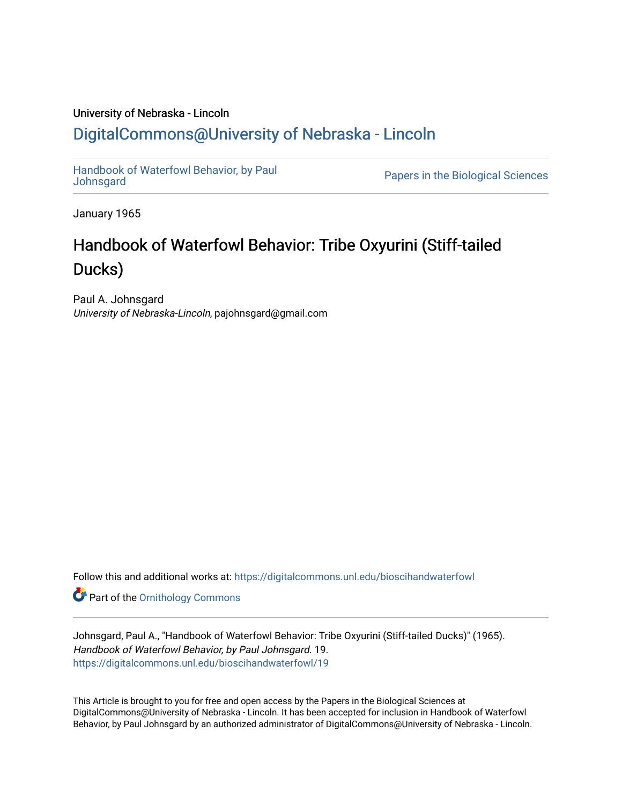## University of Nebraska - Lincoln [DigitalCommons@University of Nebraska - Lincoln](https://digitalcommons.unl.edu/)

[Handbook of Waterfowl Behavior, by Paul](https://digitalcommons.unl.edu/bioscihandwaterfowl) 

Papers in the Biological Sciences

January 1965

# Handbook of Waterfowl Behavior: Tribe Oxyurini (Stiff-tailed Ducks)

Paul A. Johnsgard University of Nebraska-Lincoln, pajohnsgard@gmail.com

Follow this and additional works at: [https://digitalcommons.unl.edu/bioscihandwaterfowl](https://digitalcommons.unl.edu/bioscihandwaterfowl?utm_source=digitalcommons.unl.edu%2Fbioscihandwaterfowl%2F19&utm_medium=PDF&utm_campaign=PDFCoverPages)

**Part of the Ornithology Commons** 

Johnsgard, Paul A., "Handbook of Waterfowl Behavior: Tribe Oxyurini (Stiff-tailed Ducks)" (1965). Handbook of Waterfowl Behavior, by Paul Johnsgard. 19. [https://digitalcommons.unl.edu/bioscihandwaterfowl/19](https://digitalcommons.unl.edu/bioscihandwaterfowl/19?utm_source=digitalcommons.unl.edu%2Fbioscihandwaterfowl%2F19&utm_medium=PDF&utm_campaign=PDFCoverPages) 

This Article is brought to you for free and open access by the Papers in the Biological Sciences at DigitalCommons@University of Nebraska - Lincoln. It has been accepted for inclusion in Handbook of Waterfowl Behavior, by Paul Johnsgard by an authorized administrator of DigitalCommons@University of Nebraska - Lincoln.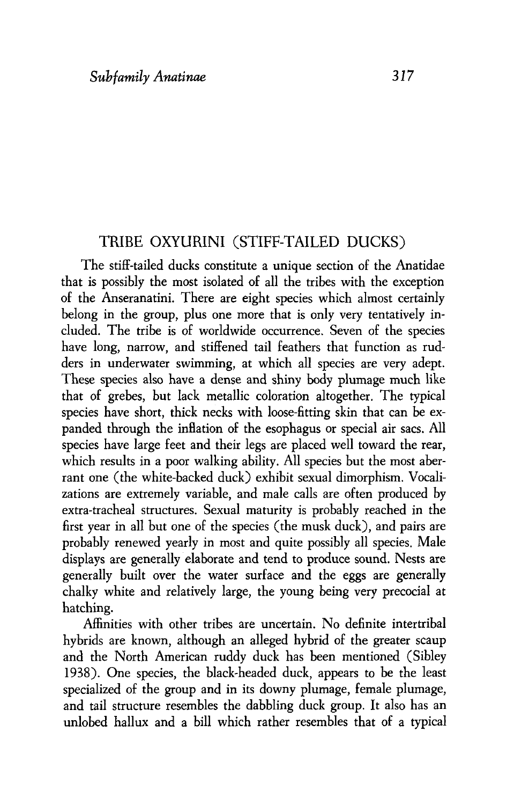#### TRIBE OXYURINI (STIFF-TAILED DUCKS)

The stiff-tailed ducks constitute a unique section of the Anatidae that is possibly the most isolated of all the tribes with the exception of the Anseranatini. There are eight species which almost certainly belong in the group, plus one more that is only very tentatively included. The tribe is of worldwide occurrence. Seven of the species have long, narrow, and stiffened tail feathers that function as rudders in underwater swimming, at which all species are very adept. These species also have a dense and shiny body plumage much like that of grebes, but lack metallic coloration altogether. The typical species have short, thick necks with loose-fitting skin that can be expanded through the inflation of the esophagus or special air sacs. All species have large feet and their legs are placed well toward the rear, which results in a poor walking ability. All species but the most aberrant one (the white-backed duck) exhibit sexual dimorphism. Vocalizations are extremely variable, and male calls are often produced by extra-tracheal structures. Sexual maturity is probably reached in the first year in all but one of the species (the musk duck), and pairs are probably renewed yearly in most and quite possibly all species. Male displays are generally elaborate and tend to produce sound. Nests are generally built over the water surface and the eggs are generally chalky white and relatively large, the young being very precocial at hatching.

Affinities with other tribes are uncertain. No definite intertribal hybrids are known, although an alleged hybrid of the greater scaup and the North American ruddy duck has been mentioned (Sibley 1938). One species, the black-headed duck, appears to be the least specialized of the group and in its downy plumage, female plumage, and tail structure resembles the dabbling duck group. It also has an unlobed hallux and a bill which rather resembles that of a typical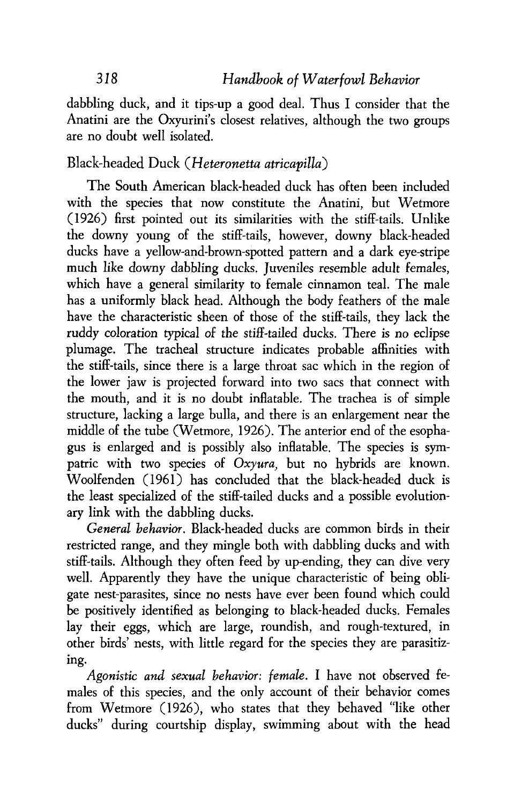dabbling duck, and it tips-up a good deal. Thus I consider that the Anatini are the Oxyurini's closest relatives, although the two groups are no doubt well isolated.

#### Black-headed Duck *(Heteronetta atricapilla)*

The South American black-headed duck has often been included with the species that now constitute the Anatini, but Wetmore (1926) first pointed out its similarities with the stiff-tails. Unlike the downy young of the stiff-tails, however, downy black-headed ducks have a yellow-and-brown-spotted pattern and a dark eye-stripe much like downy dabbling ducks. Juveniles resemble adult females, which have a general similarity to female cinnamon teal. The male has a uniformly black head. Although the body feathers of the male have the characteristic sheen of those of the stiff-tails, they lack the ruddy coloration typical of the stiff-tailed ducks. There is no eclipse plumage. The tracheal structure indicates probable affinities with the stiff-tails, since there is a large throat sac which in the region of the lower jaw is projected forward into two sacs that connect with the mouth, and it is no doubt inflatable. The trachea is of simple structure, lacking a large bulla, and there is an enlargement near the middle of the tube (Wetmore, 1926). The anterior end of the esophagus is enlarged and is possibly also inflatable. The species is sympatric with two species of *Oxyura,* but no hybrids are known. Woolfenden (1961) has concluded that the black-headed duck is the least specialized of the stiff-tailed ducks and a possible evolutionary link with the dabbling ducks.

*General behavior.* Black-headed ducks are common birds in their restricted range, and they mingle both with dabbling ducks and with stiff-tails. Although they often feed by up-ending, they can dive very well. Apparently they have the unique characteristic of being obligate nest-parasites, since no nests have ever been found which could be positively identified as belonging to bIack-headed ducks. Females lay their eggs, which are large, roundish, and rough-textured, in other birds' nests, with little regard for the species they are parasitizing.

*Agonistic* and *sexual behavior: female. I* have not observed females of this species, and the only account of their behavior comes from Wetmore (1926), who states that they behaved "like other ducks" during courtship display, swimming about with the head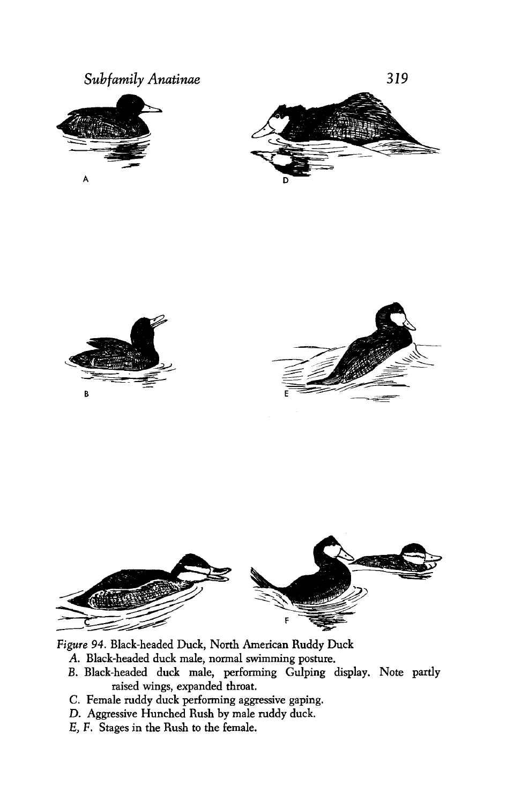



*Figure* **94. Black-headed Duck, North American Ruddy Duck** 

- **A. Black-headed duck male, normal swimming posture.**
- **B. Black-headed duck male, performing Gulping display. Note partly raised wings, expanded throat.**
- **C. Female ruddy duck performing aggressive gaping.**
- **D. Aggressive Hunched Rush by male ruddy duck.**
- **E, F. Stages in the Rush to the female.**

 $\overline{B}$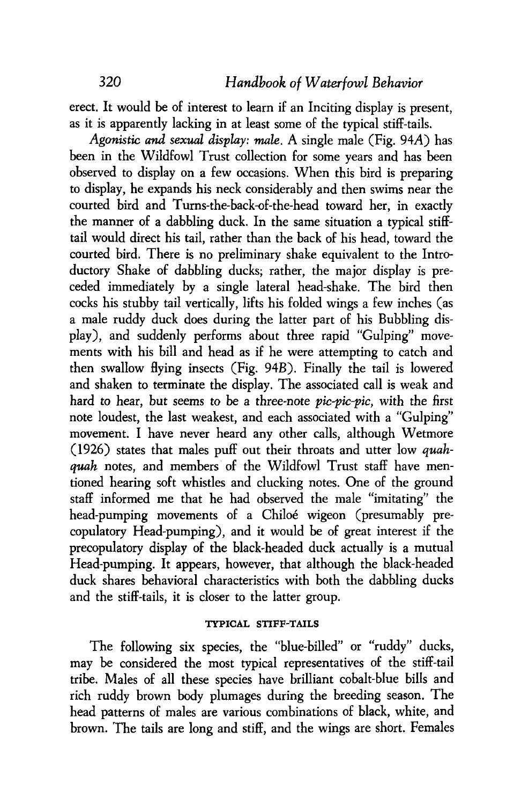erect. It would be of interest to learn if an Inciting display is present, as it is apparently lacking in at least some of the typical stiff-tails.

**Agonistic and** *sexual* **display:** *mule.* **A** single male (Fig. **94A)** has been in the Wildfowl Trust collection for some years and has been observed to display on a few occasions. When this bird is preparing to display, he expands his neck considerably and then swims near the courted bird and Turns-the-back-of-the-head toward her, in exactly the manner of a dabbling duck. In the same situation a typical stifftail would direct his tail, rather than the back of his head, toward the courted bird. There is no preliminary shake equivalent to the Introductory Shake of dabbling ducks; rather, the major display is preceded immediately by a single lateral head-shake. The bird then cocks his stubby tail vertically, lifts his folded wings a few inches (as a male ruddy duck does during the latter part of his Bubbling display), and suddenly performs about three rapid "Gulping" movements with his bill and head as if he were attempting to catch and then swallow flying insects (Fig. 94B). Finally the tail is lowered and shaken to terminate the display. The associated call is weak and hard to hear, but seems to be a three-note  $pic-pic-pic$ , with the first note loudest, the last weakest, and each associated with a "Gulping" movement. I have never heard any other calls, although Wetmore (1926) states that males puff out their throats and utter low *quahqwh* notes, and members of the Wildfowl Trust staff have mentioned hearing soft whistles and clucking notes. One of the ground staff informed me that he had observed the male "imitating" the head-pumping movements of a Chiloé wigeon (presumably precopulatory Head-pumping), and it would be of great interest if the precopulatory display of the black-headed duck actually is a mutual Head-pumping. It appears, however, that although the black-headed duck shares behavioral characteristics with both the dabbling ducks and the stiff-tails, it is closer to the latter group.

#### **TYPICAL STIFF-TAILS**

The following six species, the "blue-billed" or "ruddy" ducks, may be considered the most typical representatives of the stiff-tail tribe. Males of all these species have brilliant cobalt-blue bilk and rich ruddy brown body plumages during the breeding season. The head patterns of males are various combinations of black, white, and brown. The tails are long and stiff, and the wings are short. Females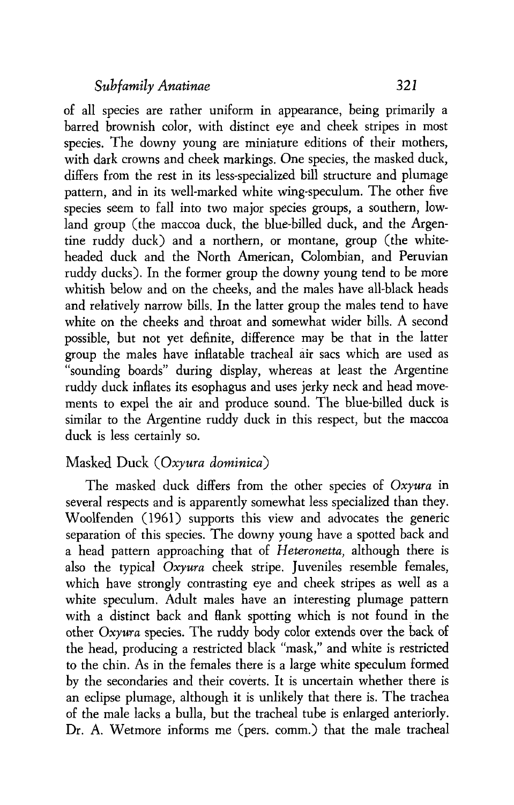of all species are rather uniform in appearance, being primarily a barred brownish color, with distinct eye and cheek stripes in most species. The downy young are miniature editions of their mothers, with dark crowns and cheek markings. One species, the masked duck, differs from the rest in its less-specialized bill structure and plumage pattern, and in its well-marked white wing-speculum. The other five species seem to fall into two major species groups, a southern, lowland group (the maccoa duck, the blue-billed duck, and the Argentine ruddy duck) and a northern, or montane, group (the whiteheaded duck and the North American, Colombian, and Peruvian ruddy ducks). In the former group the downy young tend to be more whitish below and on the cheeks, and the males have all-black heads and relatively narrow bills. In the latter group the males tend to have white on the cheeks and throat and somewhat wider bills. A second possible, but not yet definite, difference may be that in the latter group the males have inflatable tracheal air sacs which are used as "sounding boards" during display, whereas at least the Argentine ruddy duck inflates its esophagus and uses jerky neck and head movements to expel the air and produce sound. The blue-billed duck is similar to the Argentine ruddy duck in this respect, but the maccoa duck is less certainly so.

#### Masked Duck *(Oxyura dominica)*

The masked duck differs from the other species of *Oxyura* in several respects and is apparently somewhat less specialized than they. Woolfenden (1961) supports this view and advocates the generic separation of this species. The downy young have a spotted back and a head pattern approaching that of *Heteronetta,* although there is also the typical *Oxyura* cheek stripe. Juveniles resemble females, which have strongly contrasting eye and cheek stripes as well as a white speculum. Adult males have an interesting plumage pattern with a distinct back and flank spotting which is not found in the other *Oxyuva* species. The ruddy body color extends over the back of the head, producing a restricted black "mask," and white is restricted to the chin. As in the females there is a large white speculum formed by the secondaries and their coverts. It is uncertain whether there is an eclipse plumage, although it is unlikely that there is. The trachea of the male lacks a bulla, but the tracheal tube is enlarged anteriorly. Dr. A. Wetmore informs me (pers. comm.) that the male tracheal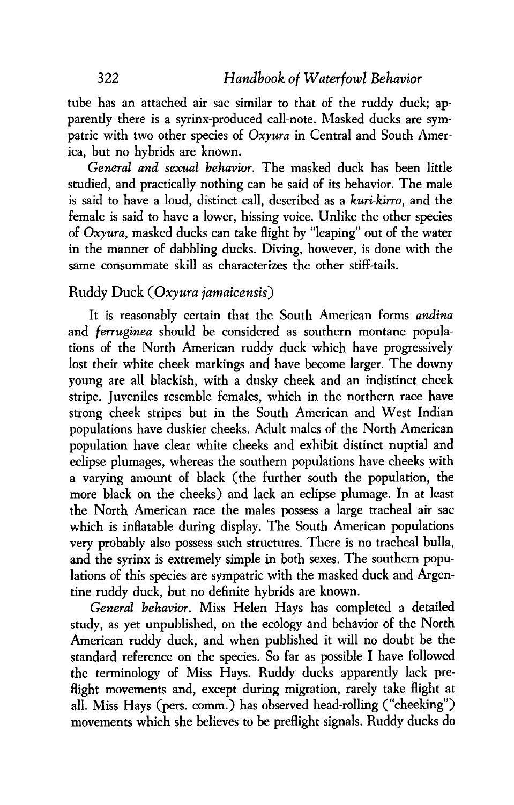tube has an attached air sac similar to that of the ruddy duck; apparently there is a syrinx-produced call-note. Masked ducks are sympatric with two other species of *Oxyura* in Central and South America, but no hybrids are known.

*General and sexual behavior.* The masked duck has been little studied, and practically nothing can be said of its behavior. The male is said to have a loud, distinct call, described as a *kuri-kirro,* and the female is said to have a lower, hissing voice. Unlike the other species of *Oxyura,* masked ducks can take flight by "leaping" out of the water in the manner of dabbling ducks. Diving, however, is done with the same consummate skill as characterizes the other stiff-tails.

#### Ruddy *Duck (Oxyura jamaicensis)*

It is reasonably certain that the South American forms *andina*  and *ferruginea* should be considered as southern montane populations of the North American ruddy duck which have progressively lost their white cheek markings and have become larger. The downy young are all blackish, with a dusky cheek and an indistinct cheek stripe. Juveniles resemble females, which in the northern race have strong cheek stripes but in the South American and West Indian populations have duskier cheeks. Adult males of the North American population have clear white cheeks and exhibit distinct nuptial and eclipse plumages, whereas the southern populations have cheeks with a varying amount of black (the further south the population, the more black on the cheeks) and lack an eclipse plumage. In at least the North American race the males possess a large tracheal air sac which is inflatable during display. The South American populations very probably also possess such structures. There is no tracheal bulla, and the syrinx is extremely simple in both sexes. The southern populations of this species are sympatric with the masked duck and Argentine ruddy duck, but no definite hybrids are known.

*General behavior.* Miss Helen Hays has completed a detailed study, as yet unpublished, on the ecology and behavior of the North American ruddy duck, and when published it will no doubt be the standard reference on the species. So far as possible I have followed the terminology of Miss Hays. Ruddy ducks apparently lack preflight movements and, except during migration, rarely take flight at all. Miss Hays (pers. comm.) has observed head-rolling ("cheeking") movements which she believes to be preflight signals. Ruddy ducks do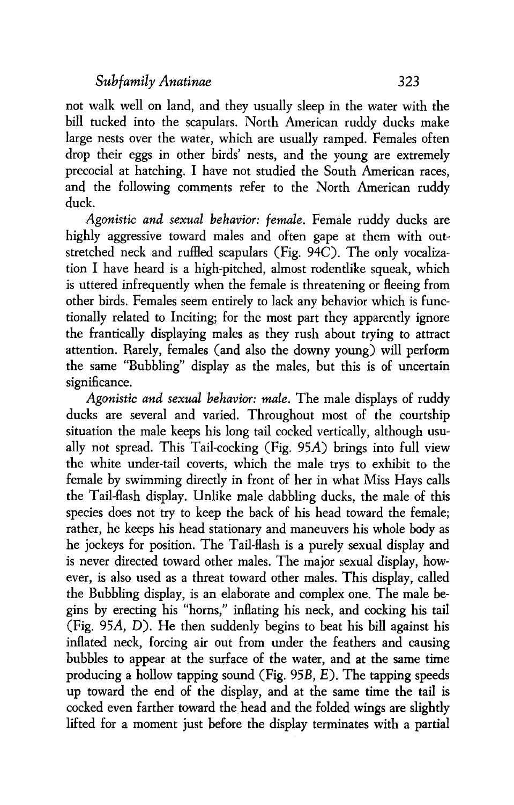not walk well on land, and they usually sleep in the water with the bill tucked into the scapulars. North American ruddy ducks make large nests over the water, which are usually ramped. Females often drop their eggs in other birds' nests, and the young are extremely precocial at hatching. I have not studied the South American races, and the following comments refer to the North American ruddy duck.

Agonistic and sexual behavior: female. Female ruddy ducks are highly aggressive toward males and often gape at them with outstretched neck and ruffled scapulars (Fig. 94C). The only vocalization I have heard is a high-pitched, almost rodentlike squeak, which is uttered infrequently when the female is threatening or fleeing from other birds. Females seem entirely to lack any behavior which is functionally related to Inciting; for the most part they apparently ignore the frantically displaying males as they rush about trying to attract attention. Rarely, females (and also the downy young) will perform the same "Bubbling" display as the males, but this is of uncertain significance.

Agonistic and sexual behavior: male. The male displays of ruddy ducks are several and varied. Throughout most of the courtship situation the male keeps his long tail cocked vertically, although usually not spread. This Tail-cocking (Fig. 95A) brings into full view the white under-tail coverts, which the male trys to exhibit to the female by swimming directly in front of her in what Miss Hays calls the Tail-flash display. Unlike male dabbling ducks, the male of this species does not try to keep the back of his head toward the female; rather, he keeps his head stationary and maneuvers his whole body as he jockeys for position. The Tail-flash is a purely sexual display and is never directed toward other males. The major sexual display, however, is also used as a threat toward other males. This display, called the Bubbling display, is an elaborate and complex one. The male begins by erecting his "horns," inflating his neck, and cocking his tail (Fig. 95A, D). He then suddenly begins to beat his bill against his inflated neck, forcing air out from under the feathers and causing bubbles to appear at the surface of the water, and at the same time producing a hollow tapping sound (Fig. 95B, E). The tapping speeds up toward the end of the display, and at the same time the tail is cocked even farther toward the head and the folded wings are slightly lifted for a moment just before the display terminates with a partial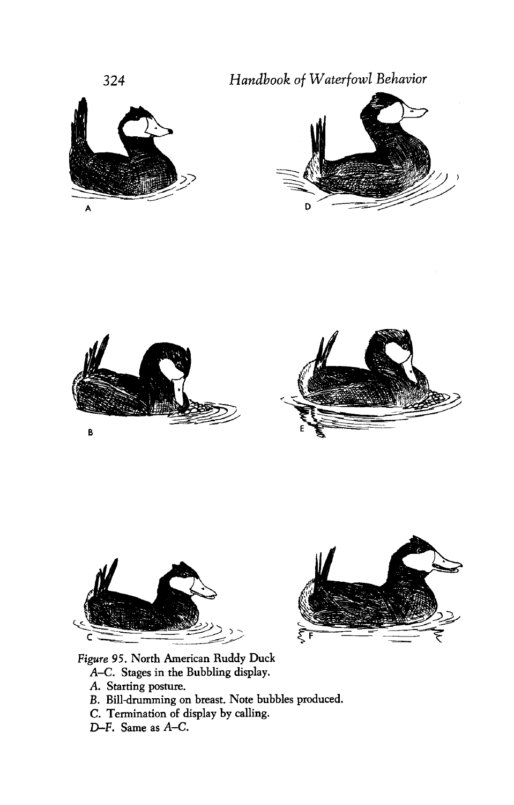*Handbook of Waterfowl Behavior* 













**Figure 95. North American Ruddy Duck A-C. Stages in the Bubbling display.** 

- **A. Starting posture.**
- *B.* **Billdrumming on breast. Note bubbles produced.**
- **C. Termination of display by calling.**
- **D-F. Same as A-C.**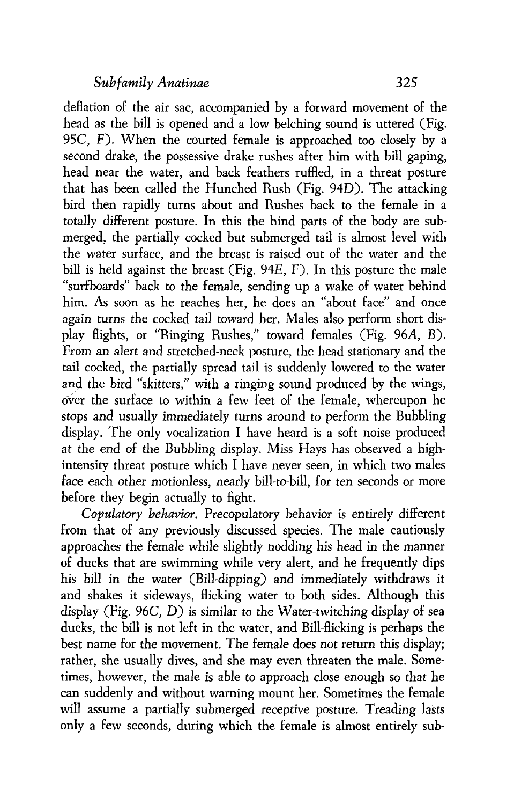deflation of the air sac, accompanied by a forward movement of the head as the bill is opened and a low belching sound is uttered (Fig. 95C, F). When the courted female is approached too closely by a second drake, the possessive drake rushes after him with bill gaping, head near the water, and back feathers ruffled, in a threat posture that has been called the Hunched Rush (Fig. 940). The attacking bird then rapidly turns about and Rushes back to the female in a totally different posture. In this the hind parts of the body are submerged, the partially cocked but submerged tail is almost level with the water surface, and the breast is raised out of the water and the bill is held against the breast (Fig. 94E, F). In this posture the male "surfboards" back to the female, sending up a wake of water behind him. As soon as he reaches her, he does an "about face" and once again turns the cocked tail toward her. Males also perform short display flights, or "Ringing Rushes," toward females (Fig. 96A, B). From an alert and stretched-neck posture, the head stationary and the tail cocked, the partially spread tail is suddenly lowered to the water and the bird "skitters," with a ringing sound produced by the wings, over the surface to within a few feet of the female, whereupon he stops and usually immediately turns around to perform the Bubbling display. The only vocalization I have heard is a soft noise produced at the end of the Bubbling display. Miss Hays has observed a highintensity threat posture which I have never seen, in which two males face each other motionless, nearly bill-to-bill, for ten seconds or more before they begin actually to fight.

Copulatory **behavior.** Precopulatory behavior is entirely different from that of any previously discussed species. The male cautiously approaches the female while slightly nodding his head in the manner of ducks that are swimming while very alert, and he frequently dips his bill in the water (Bill-dipping) and immediately withdraws it and shakes it sideways, flicking water to both sides. Although this display (Fig. 96C, D) is similar to the Water-twitching display of sea ducks, the bill is not left in the water, and Bill-flicking is perhaps the best name for the movement. The female does not return this display; rather, she usually dives, and she may even threaten the male. Sometimes, however, the male is able to approach close enough so that he can suddenly and without warning mount her. Sometimes the female will assume a partially submerged receptive posture. Treading lasts only a few seconds, during which the female is almost entirely sub-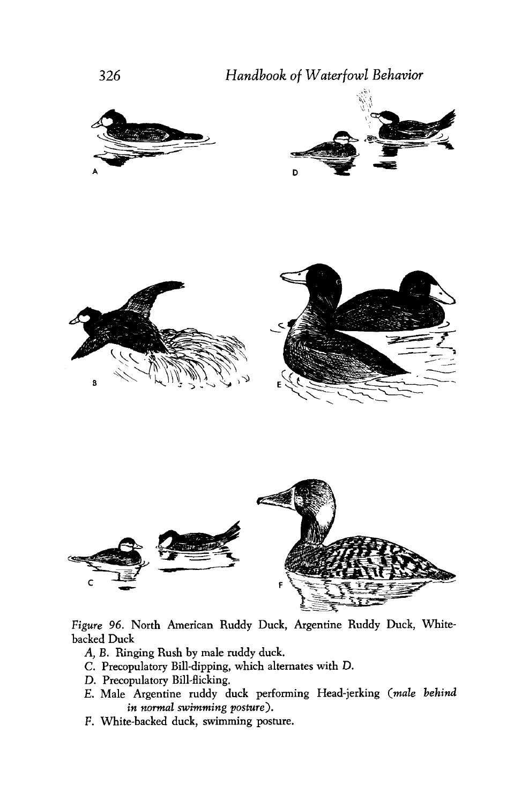







*Figure 96.* **North American Ruddy Duck, Argentine Ruddy Duck, Whitebacked Duck** 

- **A, B. Ringing Rush by male ruddy duck.**
- **C. Precopulatory Bill-dipping, which alternates with D.**
- **D. Precopulatory Bill-flicking.**
- **E. Male Argentine ruddy duck performing Head-jerking** *(male behind*  in normal swimming posture).
- *F.* **White-backed duck, swimming posture.**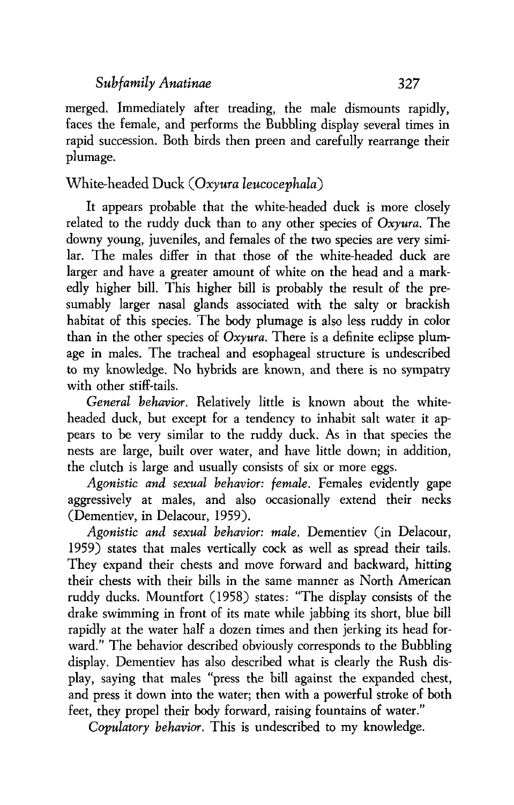merged. Immediately after treading, the male dismounts rapidly, faces the female, and performs the Bubbling display several times in rapid succession. Both birds then preen and carefully rearrange their plumage.

### White-headed Duck (Oxyura leucocephala)

It appears probable that the white-headed duck is more closely related to the ruddy duck than to any other species of Oxyura. The downy young, juveniles, and females of the two species are very similar. The males differ in that those of the white-headed duck are larger and have a greater amount of white on the head and a markedly higher bill. This higher bill is probably the result of the presumably larger nasal glands associated with the salty or brackish habitat of this species. The body plumage is also less ruddy in color than in the other species of  $Oxyura$ . There is a definite eclipse plumage in males. The tracheal and esophageal structure is undescribed to my knowledge. No hybrids are known, and there is no sympatry with other stiff-tails.

General behavior. Relatively little is known about the whiteheaded duck, but except for a tendency to inhabit salt water it appears to be very similar to the ruddy duck. As in that species the nests are large, built over water, and have little down; in addition, the clutch is large and usually consists of six or more eggs.

Agonistic *and* sexual behavior: female. Females evidently gape aggressively at males, and also occasionally extend their necks (Dementiev, in Delacour, 1959).

Agonistic and sexual behavior: male. Dementiev (in Delacour, 1959) states that males vertically cock as well as spread their tails. They expand their chests and move forward and backward, hitting their chests with their bills in the same manner as North American ruddy ducks. Mountfort (1958) states: "The display consists of the drake swimming in front of its mate while jabbing its short, blue bill rapidly at the water half a dozen times and then jerking its head forward." The behavior described obviously corresponds to the Bubbling display. Dementiev has also described what is clearly the Rush display, saying that males "press the bill against the expanded chest, and press it down into the water; then with a powerful stroke of both feet, they propel their body forward, raising fountains of water."

Copulatory behavior. This is undescribed to my knowledge.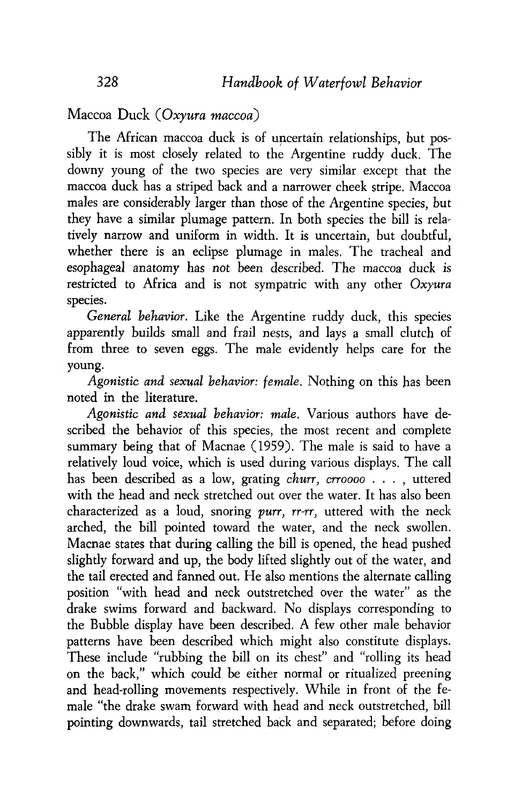Maccoa Duck *(Oxyura maccoa)* 

The African maccoa duck is of uncertain relationships, but possibly it is most closely related to the Argentine ruddy duck. The downy young of the two species are very similar except that the maccoa duck has a striped back and a narrower cheek stripe. Maccoa males are considerably larger than those of the Argentine species, but they have a similar plumage pattern. In both species the bill is relatively narrow and uniform in width. It is uncertain, but doubtful, whether there is an eclipse plumage in males. The tracheal and esophageal anatomy has not been described. The maccoa duck is restricted to Africa and is not sympatric with any other *Oxyura*  species.

*General behavior.* Like the Argentine ruddy duck, this species apparently builds small and frail nests, and lays a small clutch of from three to seven eggs. The male evidently helps care for the young.

*Agonistic and sexual behavior:* **female.** Nothing on this bas been noted in the literature.

*Agonistic and sexual behavior:* **male.** Various authors have described the behavior of this species, the most recent and complete summary being that of Macnae (1959). The male is said to have a relatively loud voice, which is used during various displays. The call has been described as a low, grating *churr, crroooo* . . . , uttered with the head and neck stretched out over the water. It has also been characterized as a loud, snoring *purr, rr-rr,* uttered with the neck arched, the bill pointed toward the water, and the neck swollen. Macnae states that during calling the bill is opened, the head pushed slightly forward and up, the body lifted slightly out of the water, and the tail erected and fanned out. He also mentions the alternate calling position "with head and neck outstretched over the water" as the drake swims forward and backward. No displays corresponding to the Bubble display have been described. A few other male behavior patterns have been described which might also constitute displays. These include "rubbing the bill on its chest" and "rolling its head on the back," which could be either normal or ritualized preening and head-rolling movements respectively. While in front of the female "the drake swam forward with head and neck outstretched, bill pointing downwards, tail stretched back and separated; before doing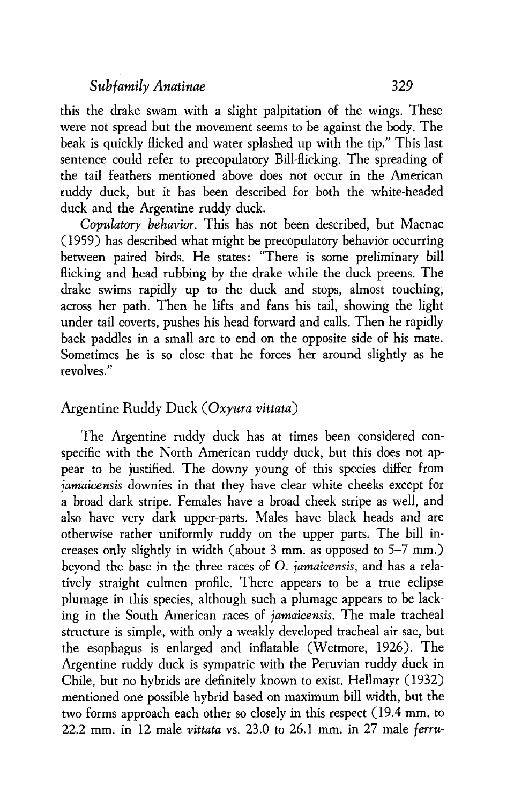this the drake swam with a slight palpitation of the wings. These were not spread but the movement seems to be against the body. The beak is quickly flicked and water splashed up with the tip." This last sentence could refer to precopulatory Bill-flicking. The spreading of the tail feathers mentioned above does not occur in the American ruddy duck, but it has been described for both the white-headed duck and the Argentine ruddy duck.

Copulatory behavior. This has not been described, but Macnae (1959) has described what might be precopulatory behavior occurring between paired birds. He states: "There is some preliminary bill flicking and head rubbing by the drake while the duck preens. The drake swims rapidly up to the duck and stops, almost touching, across her path. Then he lifts and fans his tail, showing the light under tail coverts, pushes his head forward and calls. Then he rapidly back paddles in a small arc to end on the opposite side of his mate. Sometimes he is so close that he forces her around slightly as he revolves."

#### Argentine Ruddy Duck *(Oxyura vittata)*

The Argentine ruddy duck has at times been considered conspecific with the North American ruddy duck, but this does not appear to be justified. The downy young of this species differ from *jamicensis* downies in that they have clear white cheeks except for a broad dark stripe. Females have a broad cheek stripe as well, and also have very dark upper-parts. Males have black heads and are otherwise rather uniformly ruddy on the upper parts. The bill increases only slightly in width (about 3 mm. as opposed to 5-7 mm.) beyond the base in the three races of 0. *jamaicensis,* and has a relatively straight culmen profile. There appears to be a true eclipse plumage in this species, although such a plumage appears to be lacking in the South American races of *jamaicensis.* The male tracheal structure is simple, with only a weakly developed tracheal air sac, but the esophagus is enlarged and inflatable (Wetmore, 1926). The Argentine ruddy duck is sympatric with the Peruvian ruddy duck in Chile, but no hybrids are definitely known to exist. Hellmayr (1932) mentioned one possible hybrid based on maximum bill width, but the two forms approach each other so closely in this respect (19.4 mm. to 22.2 mm. in 12 male *vittuta* vs. 23.0 to 26.1 mm. in 27 male *fenu-*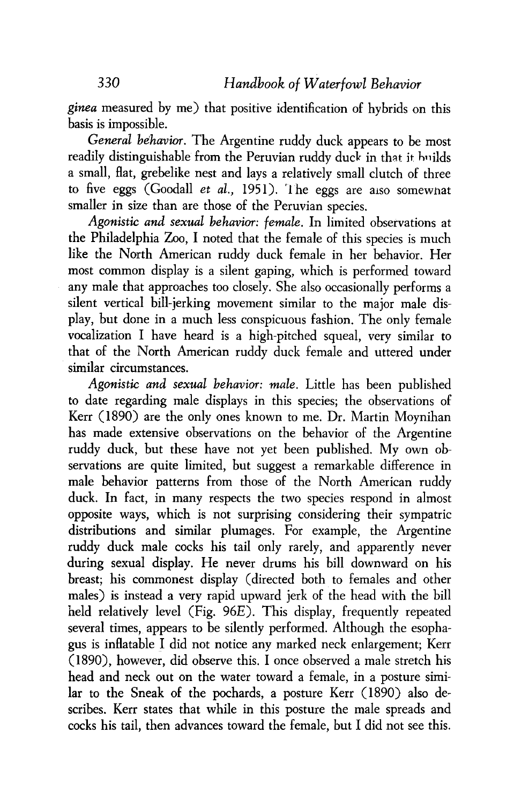*ginea* measured by me) that positive identification of hybrids on this basis is impossible.

*General be'havior.* The Argentine ruddy duck appears to be most readily distinguishable from the Peruvian ruddy duck in that it huilds a small, flat, grebelike nest and lays a relatively small clutch of three to five eggs (Goodall *et al.,* 1951). **'1** he eggs are also somewhat smaller in size than are those of the Peruvian species.

*Agonistic and sexual behavior: female.* In limited observations at the Philadelphia Zoo, I noted that the female of this species is much like the North American ruddy duck female in her behavior. Her most common display is a silent gaping, which is performed toward any male that approaches too closely. She also occasionally performs a silent vertical bill-jerking movement similar to the major male display, but done in a much less conspicuous fashion. The only female vocalization I have heard is a high-pitched squeal, very similar to that of the North American ruddy duck female and uttered under similar circumstances.

*Agonistic* and *sexual behavior: male.* Little has been published to date regarding male displays in this species; the observations of Kerr (1890) are the only ones known to me. Dr. Martin Moynihan has made extensive observations on the behavior of the Argentine ruddy duck, but these have not yet been published. My own observations are quite limited, but suggest a remarkable difference in male behavior patterns from those of the North American ruddy duck. In fact, in many respects the two species respond in almost opposite ways, which is not surprising considering their sympatric distributions and similar plumages. For example, the Argentine ruddy duck male cocks his tail only rarely, and apparently never during sexual display. He never drums his bill downward on his breast; his commonest display (directed both to females and other males) is instead a very rapid upward jerk of the head with the bill held relatively level (Fig. 96E). This display, frequently repeated several times, appears to be silently performed. Although the esophagus is inflatable I did not notice any marked neck enlargement; Kerr (1890), however, did observe this. I once observed a male stretch his head and neck out on the water toward a female, in a posture similar to the Sneak of the pochards, a posture Kerr (1890) also describes. Kerr states that while in this posture the male spreads and cocks his tail, then advances toward the female, but I did not see this.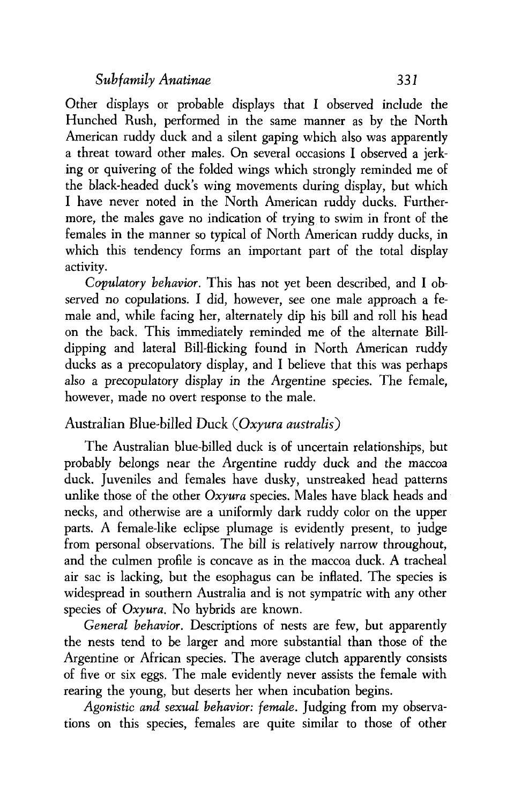Other displays or probable displays that I observed include the Hunched Rush, performed in the same manner as by the North American ruddy duck and a silent gaping which also was apparently a threat toward other males. On several occasions I observed a jerking or quivering of the folded wings which strongly reminded me of the black-headed duck's wing movements during display, but which I have never noted in the North American ruddy ducks. Furthermore, the males gave no indication of trying to swim in front of the females in the manner so typical of North American ruddy ducks, in which this tendency forms an important part of the total display activity.

*Copulatory behavior.* This has not yet been described, and I observed no copulations. I did, however, see one male approach a female and, while facing her, alternately dip his bill and roll his head on the back. This immediately reminded me of the alternate Billdipping and lateral Bill-flicking found in North American ruddy ducks as a precopulatory display, and I believe that this was perhaps also a precopulatory display in the Argentine species. The female, however, made no overt response to the male.

#### Australian Blue-billed Duck *(Oxyura australis)*

The Australian blue-billed duck is of uncertain relationships, but probably belongs near the Argentine ruddy duck and the maccoa duck. Juveniles and females have dusky, unstreaked head patterns unlike those of the other *Oxyura* species. Males have black heads and necks, and otherwise are a uniformly dark ruddy color on the upper parts. A female-like eclipse plumage is evidently present, to judge from personal observations. The bill is relatively narrow throughout, and the culmen profile is concave as in the maccoa duck. A tracheal air sac is lacking, but the esophagus can be inflated. The species is widespread in southern Australia and is not sympatric with any other species of *Oxyura.* No hybrids are known.

*General behavior.* Descriptions of nests are few, but apparently the nests tend to be larger and more substantial than those of the Argentine or African species. The average clutch apparently consists of five or six eggs. The male evidently never assists the female with rearing the young, but deserts her when incubation begins.

*Agonistic and sexual behavior: female.* Judging from my observations on this species, females are quite similar to those of other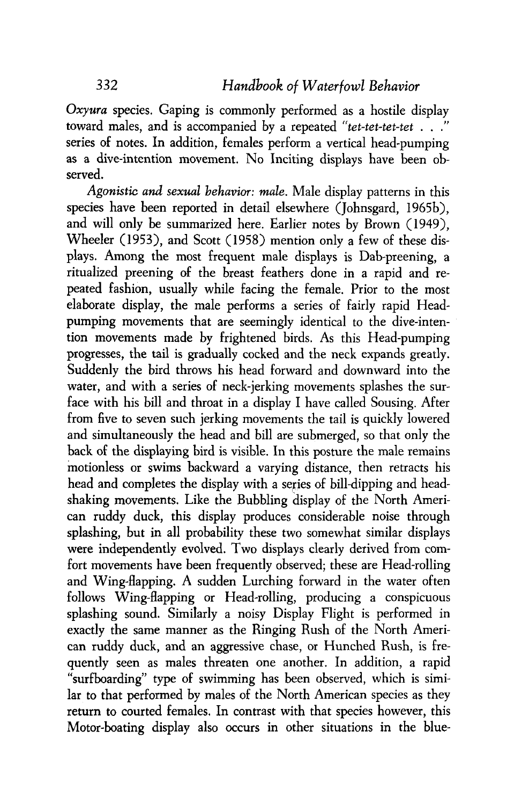*Oxyura* species. Gaping is commonly performed as a hostile display toward males, and is accompanied by a repeated *"tet-tet-tet-tet* . . ." series of notes. In addition, females perform a vertical head-pumping as a dive-intention movement. No Inciting displays have been observed.

*Agonistic* **and** *sexual* **behavior:** *male.* Male display patterns in this species have been reported in detail elsewhere (Johnsgard, 1965b), and will only be summarized here. Earlier notes by Brown (1949), Wheeler (1953), and Scott (1958) mention only a few of these displays. Among the most frequent male displays is Dab-preening, a ritualized preening of the breast feathers done in a rapid and repeated fashion, usually while facing the female. Prior to the most elaborate display, the male performs a series of fairly rapid Headpumping movements that are seemingly identical to the dive-intention movements made by frightened birds. As this Head-pumping progresses, the tail is gradually cocked and the neck expands greatly. Suddenly the bird throws his head forward and downward into the water, and with a series of neck-jerking movements splashes the surface with his bill and throat in a display I have called Sousing. After from five to seven such jerking movements the tail is quickly lowered and simultaneously the head and bill are submerged, so that only the back of the displaying bird is visible. In this posture the male remains motionless or swims backward a varying distance, then retracts his head and completes the display with a series of bill-dipping and headshaking movements. Like the Bubbling display of the North American ruddy duck, this display produces considerable noise through splashing, but in all probability these two somewhat similar displays were independently evolved. Two displays clearly derived from comfort movements have been frequently observed; these are Head-rolling and Wing-flapping. A sudden Lurching forward in the water often follows Wing-flapping or Head-rolling, producing a conspicuous splashing sound. Similarly a noisy Display Flight is performed in exactly the same manner as the Ringing Rush of the North American ruddy duck, and an aggressive chase, or Hunched Rush, is frequently seen as males threaten one another. In addition, a rapid "surfboarding" type of swimming has been observed, which is similar to that performed by males of the North American species as they return to courted females. In contrast with that species however, this Motor-boating display also occurs in other situations in the blue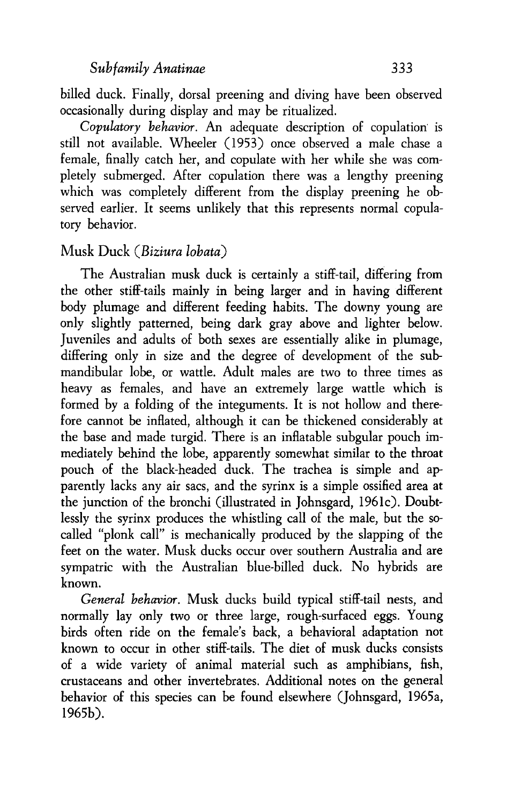billed duck. Finally, dorsal preening and diving have been observed occasionally during display and may be ritualized.

*Copulatory behavior.* An adequate description of copulation. is still not available. Wheeler (1953) once observed a male chase a female, finally catch her, and copulate with her while she was completely submerged. After copulation there was a lengthy preening which was completely different from the display preening he observed earlier. It seems unlikely that this represents normal copulatory behavior.

#### **Musk** *Duck (Biziura lobata)*

The Australian musk duck is certainly a stiff-tail, differing from the other stiff-tails mainly in being larger and in having different body plumage and different feeding habits. The downy young are only slightly patterned, being dark gray above and lighter below. Juveniles and adults of both sexes are essentially alike in plumage, differing only in size and the degree of development of the sub mandibular lobe, or wattle. Adult males are two to three times as heavy as females, and have an extremely large wattle which is formed by a folding of the integuments. It is not hollow and therefore cannot be inflated, although it can be thickened considerably at the base and made turgid. There is an inflatable subgular pouch immediately behind the lobe, apparently somewhat similar to the throat pouch of the black-headed duck. The trachea is simple and apparently lacks any air sacs, and the syrinx is a simple ossified area at the junction of the bronchi (illustrated in Johnsgard, 1961c). Doubtlessly the syrinx produces the whistling call of the male, but the socalled "plonk call" is mechanically produced by the slapping of the feet on the water. Musk ducks occur over southern Australia and are sympatric with the Australian blue-biIled duck. No hybrids are known.

*General behavior.* Musk ducks build typical stiff-tail nests, and normally lay only two or three large, rough-surfaced eggs. Young birds often ride on the female's back, a behavioral adaptation not known to occur in other stiff-tails. The diet of musk ducks consists of a wide variety of animal material such as amphibians, fish, crustaceans and other invertebrates. Additional notes on the general behavior of this species can be found elsewhere (Johnsgard, 1965a, 1965b).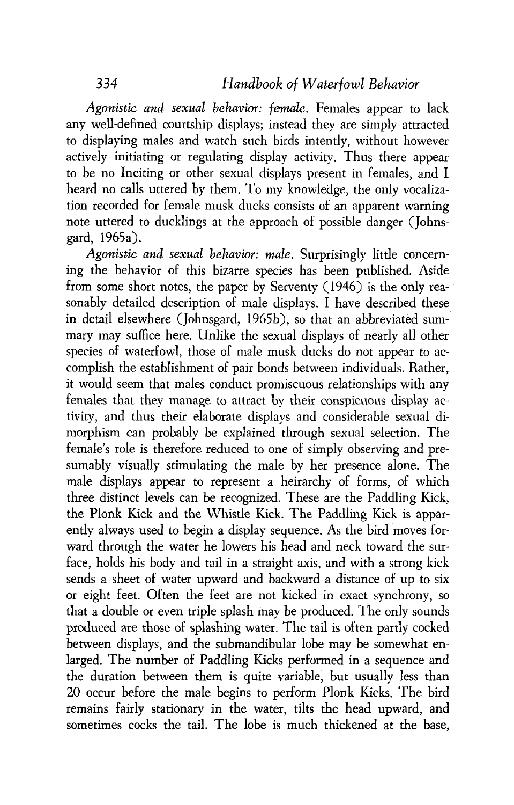*Agonistic and sexual behavior: female.* Females appear to lack any well-defined courtship displays; instead they are simply attracted to displaying males and watch such birds intently, without however actively initiating or regulating display activity. Thus there appear to be no Inciting or other sexual displays present in females, and I heard no calls uttered by them. To my knowledge, the only vocalization recorded for female musk ducks consists of an apparent warning note uttered to ducklings at the approach of possible danger (Johnsgard, 1965a).

*Agonistic and sexual behavior: male.* Surprisingly little concerning the behavior of this bizarre species has been published. Aside from some short notes, the paper by Serventy (1946) is the only reasonably detailed description of male displays. I have described these in detail elsewhere (Johnsgard, 1965b), so that an abbreviated summary may suffice here. Unlike the sexual displays of nearly all other species of waterfowl, those of male musk ducks do not appear to accomplish the establishment of pair bonds between individuals. Rather, it would seem that males conduct promiscuous relationships with any females that they manage to attract by their conspicuous display activity, and thus their elaborate displays and considerable sexual dimorphism can probably be explained through sexual selection. The female's role is therefore reduced to one of simply observing and presumably visually stimulating the male by her presence alone. The male displays appear to represent a heirarchy of forms, of which three distinct levels can be recognized. These are the Paddling Kick, the Plonk Kick and the Whistle Kick. The Paddling Kick is apparently always used to begin a display sequence. As the bird moves forward through the water he lowers his head and neck toward the surface, holds his body and tail in a straight axis, and with a strong kick sends a sheet of water upward and backward a distance of up to six or eight feet. Often the feet are not kicked in exact synchrony, so that a double or even triple splash may be produced. The only sounds produced are those of splashing water. The tail is often partly cocked between displays, and the submandibular lobe may be somewhat enlarged. The number of Paddling Kicks performed in a sequence and the duration between them is quite variable, but usually less than 20 occur before the male begins to perform Plonk Kicks. The bird remains fairly stationary in the water, tilts the head upward, and sometimes cocks the tail. The lobe is much thickened at the base,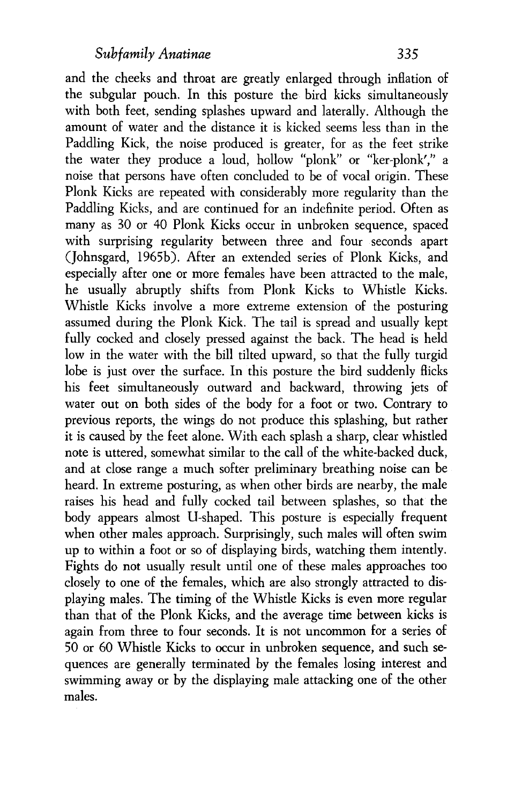and the cheeks and throat are greatly enlarged through inflation of the subgular pouch. In this posture the bird kicks simultaneously with both feet, sending splashes upward and laterally. Although the amount of water and the distance it is kicked seems less than in the Paddling Kick, the noise produced is greater, for as the feet strike the water they produce a loud, hollow "plonk" or "ker-plonk'," a noise that persons have often concluded to be of vocal origin. These Plonk Kicks are repeated with considerably more regularity than the Paddling Kicks, and are continued for an indefinite period. Often as many as 30 or 40 Plonk Kicks occur in unbroken sequence, spaced with surprising regularity between three and four seconds apart (Johnsgard, 1965b). After an extended series of Plonk Kicks, and especially after one or more females have been attracted to the male, he usually abruptly shifts from Plonk Kicks to Whistle Kicks. Whistle Kicks involve a more extreme extension of the posturing assumed during the Plonk Kick. The tail is spread and usually kept fully cocked and closely pressed against the back. The head is held low in the water with the bill tilted upward, so that the fully turgid lobe is just over the surface. In this posture the bird suddenly flicks his feet simultaneously outward and backward, throwing jets of water out on both sides of the body for a foot or two. Contrary to previous reports, the wings do not produce this splashing, but rather it is caused by the feet alone. With each splash a sharp, clear whistled note is uttered, somewhat similar to the call of the white-backed duck, and at close range a much softer preliminary breathing noise can be heard. In extreme posturing, as when other birds are nearby, the male raises his head and fully cocked tail between splashes, so that the body appears almost U-shaped. This posture is especially frequent when other males approach. Surprisingly, such males will often swim up to within a foot or so of displaying birds, watching them intently. Fights do not usually result until one of these males approaches too closely to one of the females, which are also strongly attracted to displaying males. The timing of the Whistle Kicks is even more regular than that of the Plonk Kicks, and the average time between kicks is again from three to four seconds. It is not uncommon for a series of 50 or 60 Whistle Kicks to occur in unbroken sequence, and such sequences are generally terminated by the females losing interest and swimming away or by the displaying male attacking one of the other males.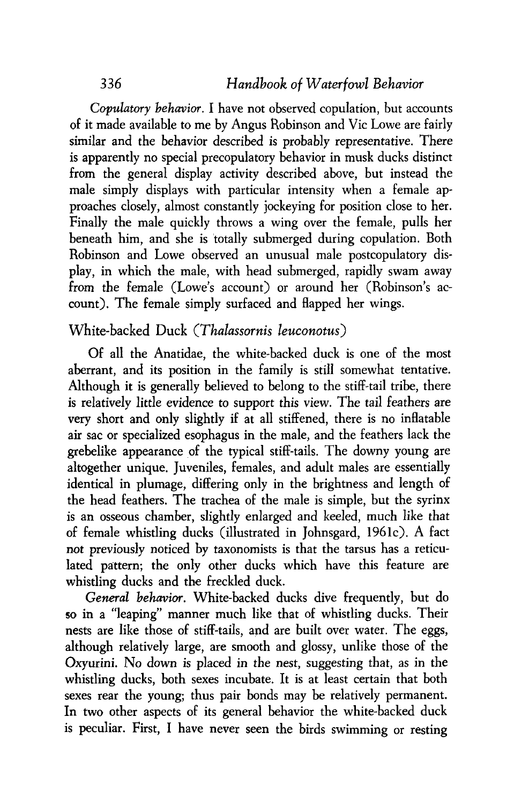*Copulatory behavior.* I have not observed copulation, but accounts of it made available to me by Angus Robinson and Vic Lowe are fairly similar and the behavior described is probably representative. There is apparently no special precopulatory behavior in musk ducks distinct from the general display activity described above, but instead the male simply displays with particular intensity when a female approaches closely, almost constantly jockeying for position close to her. Finally the male quickly throws a wing over the female, pulls her beneath him, and she is totally submerged during copulation. Both Robinson and Lowe observed an unusual male postcopulatory display, in which the male, with head submerged, rapidly swam away from the female (Lowe's account) or around her (Robinson's account). The female simply surfaced and flapped her wings.

#### White-backed Duck *(Thalassornis leuconotus)*

Of all the Anatidae, the white-backed duck is one of the most aberrant, and its position in the family is still somewhat tentative. Although it is generally believed to belong to the stiff-tail tribe, there is relatively little evidence to support this view. The tail feathers are very short and only slightly if at all stiffened, there is no inflatable air sac or specialized esophagus in the male, and the feathers lack the grebelike appearance of the typical stiff-tails. The downy young are altogether unique. Juveniles, females, and adult males are essentially identical in plumage, differing only in the brightness and length of the head feathers. The trachea of the male is simple, but the syrinx is an osseous chamber, slightly enlarged and keeled, much like that of female whistling ducks (illustrated in Johnsgard, 1961c). A fact not previously noticed by taxonomists is that the tarsus has a reticulated pattern; the only other ducks which have this feature are whistling ducks and the freckled duck.

*General* behavior. White-backed ducks dive frequently, but do so in a "leaping" manner much like that of whistling ducks. Their nests are like those of stiff-tails, and are built over water. The eggs, although relatively large, are smooth and glossy, unlike those of the Oxyurini. No down is placed in the nest, suggesting that, as in the whistling ducks, both sexes incubate. It is at least certain that both sexes rear the young; thus pair bonds may be relatively permanent. In two other aspects of its general behavior the white-backed duck is peculiar. First, I have never seen the birds swimming or resting